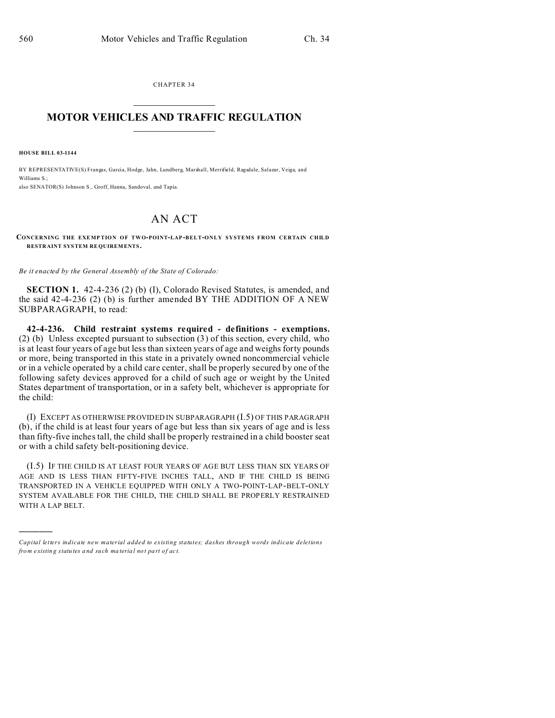CHAPTER 34  $\overline{\phantom{a}}$  , where  $\overline{\phantom{a}}$ 

## **MOTOR VEHICLES AND TRAFFIC REGULATION**  $\frac{1}{2}$  ,  $\frac{1}{2}$  ,  $\frac{1}{2}$  ,  $\frac{1}{2}$  ,  $\frac{1}{2}$  ,  $\frac{1}{2}$  ,  $\frac{1}{2}$

**HOUSE BILL 03-1144**

)))))

BY REPRESENTATIVE(S) Frangas, Garcia, Hodge, Jahn, Lundberg, Marshall, Merrifield, Ragsdale, Salazar, Veiga, and Williams S<sup>.</sup> also SENATOR(S) Johnson S., Groff, Hanna, Sandoval, and Tapia.

## AN ACT

## **CONCERNING THE EXEMP TION OF TWO-POINT-LAP-BELT-ONLY SYSTEMS FROM CERTAIN CHILD RESTR AINT SYSTEM RE QUIREM ENTS.**

*Be it enacted by the General Assembly of the State of Colorado:*

**SECTION 1.** 42-4-236 (2) (b) (I), Colorado Revised Statutes, is amended, and the said 42-4-236 (2) (b) is further amended BY THE ADDITION OF A NEW SUBPARAGRAPH, to read:

**42-4-236. Child restraint systems required - definitions - exemptions.** (2) (b) Unless excepted pursuant to subsection (3) of this section, every child, who is at least four years of age but less than sixteen years of age and weighs forty pounds or more, being transported in this state in a privately owned noncommercial vehicle or in a vehicle operated by a child care center, shall be properly secured by one of the following safety devices approved for a child of such age or weight by the United States department of transportation, or in a safety belt, whichever is appropriate for the child:

(I) EXCEPT AS OTHERWISE PROVIDED IN SUBPARAGRAPH (I.5) OF THIS PARAGRAPH (b), if the child is at least four years of age but less than six years of age and is less than fifty-five inches tall, the child shall be properly restrained in a child booster seat or with a child safety belt-positioning device.

(I.5) IF THE CHILD IS AT LEAST FOUR YEARS OF AGE BUT LESS THAN SIX YEARS OF AGE AND IS LESS THAN FIFTY-FIVE INCHES TALL, AND IF THE CHILD IS BEING TRANSPORTED IN A VEHICLE EQUIPPED WITH ONLY A TWO-POINT-LAP-BELT-ONLY SYSTEM AVAILABLE FOR THE CHILD, THE CHILD SHALL BE PROPERLY RESTRAINED WITH A LAP BELT.

*Capital letters indicate new material added to existing statutes; dashes through words indicate deletions from e xistin g statu tes a nd such ma teria l no t pa rt of ac t.*